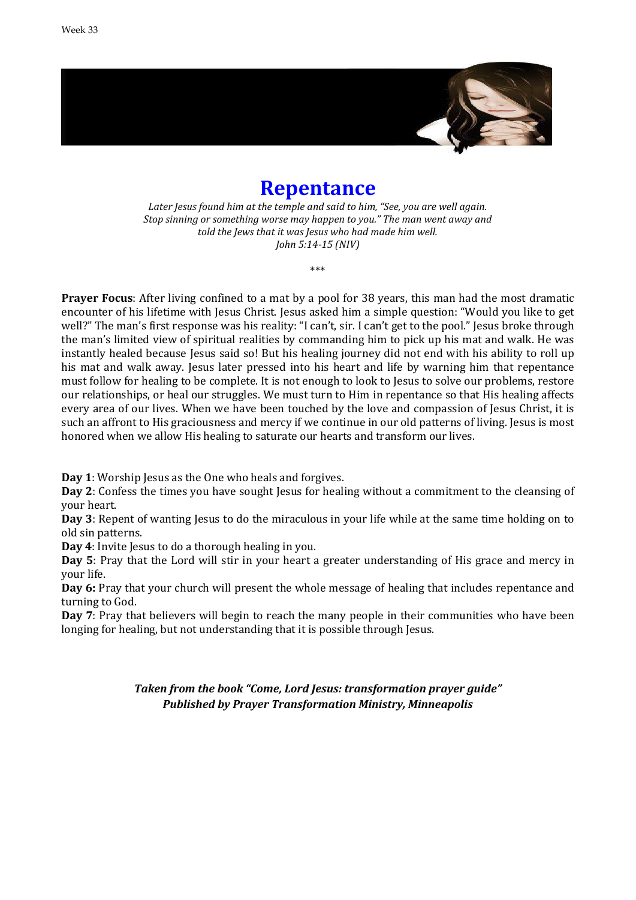

# **Repentance**

*Later Jesus found him at the temple and said to him, "See, you are well again. Stop sinning or something worse may happen to you." The man went away and told the Jews that it was Jesus who had made him well. John 5:14-15 (NIV)*

\*\*\*

**Prayer Focus**: After living confined to a mat by a pool for 38 years, this man had the most dramatic encounter of his lifetime with Jesus Christ. Jesus asked him a simple question: "Would you like to get well?" The man's first response was his reality: "I can't, sir. I can't get to the pool." Jesus broke through the man's limited view of spiritual realities by commanding him to pick up his mat and walk. He was instantly healed because Jesus said so! But his healing journey did not end with his ability to roll up his mat and walk away. Jesus later pressed into his heart and life by warning him that repentance must follow for healing to be complete. It is not enough to look to Jesus to solve our problems, restore our relationships, or heal our struggles. We must turn to Him in repentance so that His healing affects every area of our lives. When we have been touched by the love and compassion of Jesus Christ, it is such an affront to His graciousness and mercy if we continue in our old patterns of living. Jesus is most honored when we allow His healing to saturate our hearts and transform our lives.

**Day 1**: Worship Jesus as the One who heals and forgives.

**Day** 2: Confess the times you have sought Jesus for healing without a commitment to the cleansing of your heart.

**Day 3**: Repent of wanting Jesus to do the miraculous in your life while at the same time holding on to old sin patterns.

**Day 4**: Invite Jesus to do a thorough healing in you.

**Day 5**: Pray that the Lord will stir in your heart a greater understanding of His grace and mercy in your life.

**Day 6:** Pray that your church will present the whole message of healing that includes repentance and turning to God.

**Day 7**: Pray that believers will begin to reach the many people in their communities who have been longing for healing, but not understanding that it is possible through Jesus.

> *Taken from the book "Come, Lord Jesus: transformation prayer guide" Published by Prayer Transformation Ministry, Minneapolis*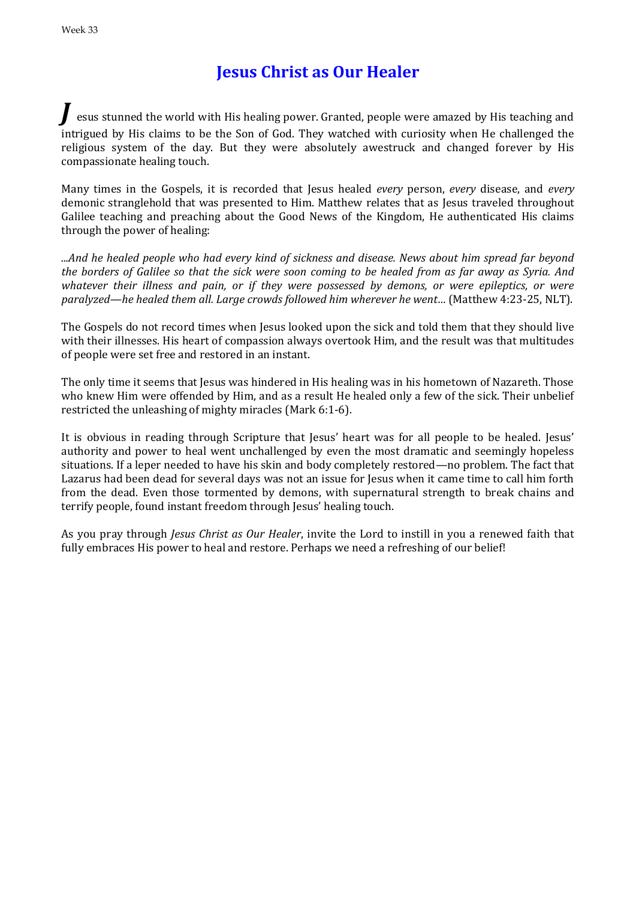## **Jesus Christ as Our Healer**

esus stunned the world with His healing power. Granted, people were amazed by His teaching and intrigued by His claims to be the Son of God. They watched with curiosity when He challenged the religious system of the day. But they were absolutely awestruck and changed forever by His compassionate healing touch.

Many times in the Gospels, it is recorded that Jesus healed *every* person, *every* disease, and *every*  demonic stranglehold that was presented to Him. Matthew relates that as Jesus traveled throughout Galilee teaching and preaching about the Good News of the Kingdom, He authenticated His claims through the power of healing:

*...And he healed people who had every kind of sickness and disease. News about him spread far beyond the borders of Galilee so that the sick were soon coming to be healed from as far away as Syria. And whatever their illness and pain, or if they were possessed by demons, or were epileptics, or were paralyzed—he healed them all. Large crowds followed him wherever he went…* (Matthew 4:23-25, NLT).

The Gospels do not record times when Jesus looked upon the sick and told them that they should live with their illnesses. His heart of compassion always overtook Him, and the result was that multitudes of people were set free and restored in an instant.

The only time it seems that Jesus was hindered in His healing was in his hometown of Nazareth. Those who knew Him were offended by Him, and as a result He healed only a few of the sick. Their unbelief restricted the unleashing of mighty miracles (Mark 6:1-6).

It is obvious in reading through Scripture that Jesus' heart was for all people to be healed. Jesus' authority and power to heal went unchallenged by even the most dramatic and seemingly hopeless situations. If a leper needed to have his skin and body completely restored—no problem. The fact that Lazarus had been dead for several days was not an issue for Jesus when it came time to call him forth from the dead. Even those tormented by demons, with supernatural strength to break chains and terrify people, found instant freedom through Jesus' healing touch.

As you pray through *Jesus Christ as Our Healer*, invite the Lord to instill in you a renewed faith that fully embraces His power to heal and restore. Perhaps we need a refreshing of our belief!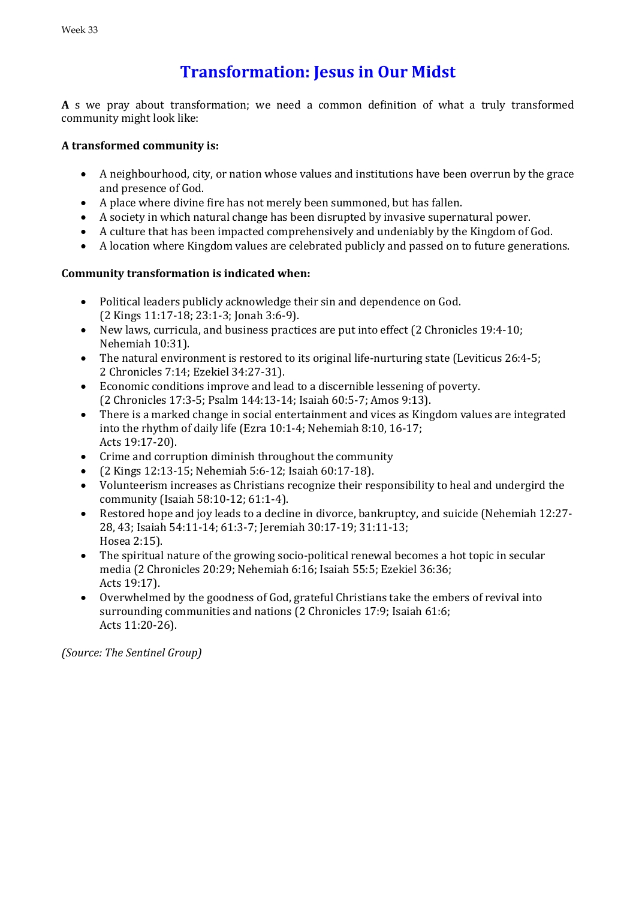## **Transformation: Jesus in Our Midst**

**A** s we pray about transformation; we need a common definition of what a truly transformed community might look like:

### **A transformed community is:**

- A neighbourhood, city, or nation whose values and institutions have been overrun by the grace and presence of God.
- A place where divine fire has not merely been summoned, but has fallen.
- A society in which natural change has been disrupted by invasive supernatural power.
- A culture that has been impacted comprehensively and undeniably by the Kingdom of God.
- A location where Kingdom values are celebrated publicly and passed on to future generations.

### **Community transformation is indicated when:**

- Political leaders publicly acknowledge their sin and dependence on God. (2 Kings 11:17-18; 23:1-3; Jonah 3:6-9).
- New laws, curricula, and business practices are put into effect (2 Chronicles 19:4-10; Nehemiah 10:31).
- The natural environment is restored to its original life-nurturing state (Leviticus 26:4-5; 2 Chronicles 7:14; Ezekiel 34:27-31).
- Economic conditions improve and lead to a discernible lessening of poverty. (2 Chronicles 17:3-5; Psalm 144:13-14; Isaiah 60:5-7; Amos 9:13).
- There is a marked change in social entertainment and vices as Kingdom values are integrated into the rhythm of daily life (Ezra 10:1-4; Nehemiah 8:10, 16-17; Acts 19:17-20).
- Crime and corruption diminish throughout the community
- (2 Kings 12:13-15; Nehemiah 5:6-12; Isaiah 60:17-18).
- Volunteerism increases as Christians recognize their responsibility to heal and undergird the community (Isaiah 58:10-12; 61:1-4).
- Restored hope and joy leads to a decline in divorce, bankruptcy, and suicide (Nehemiah 12:27- 28, 43; Isaiah 54:11-14; 61:3-7; Jeremiah 30:17-19; 31:11-13; Hosea 2:15).
- The spiritual nature of the growing socio-political renewal becomes a hot topic in secular media (2 Chronicles 20:29; Nehemiah 6:16; Isaiah 55:5; Ezekiel 36:36; Acts 19:17).
- Overwhelmed by the goodness of God, grateful Christians take the embers of revival into surrounding communities and nations (2 Chronicles 17:9; Isaiah 61:6; Acts 11:20-26).

*(Source: The Sentinel Group)*